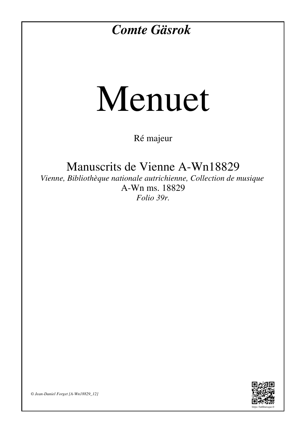## *Comte Gäsrok*

## Menuet

Ré majeur

Manuscrits de Vienne A-Wn18829

*Vienne, Bibliothèque nationale autrichienne, Collection de musique* A-Wn ms. 18829 *Folio 39r.*



*© Jean-Daniel Forget [A-Wn18829\_12]*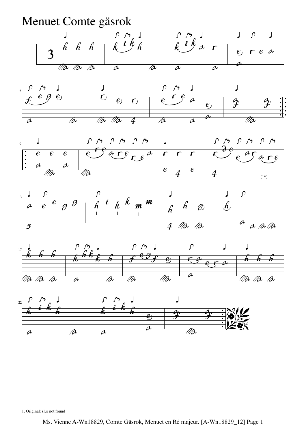Menuet Comte gäsrok













1. Original: slur not found

Ms. Vienne A-Wn18829, Comte Gäsrok, Menuet en Ré majeur. [A-Wn18829\_12] Page 1